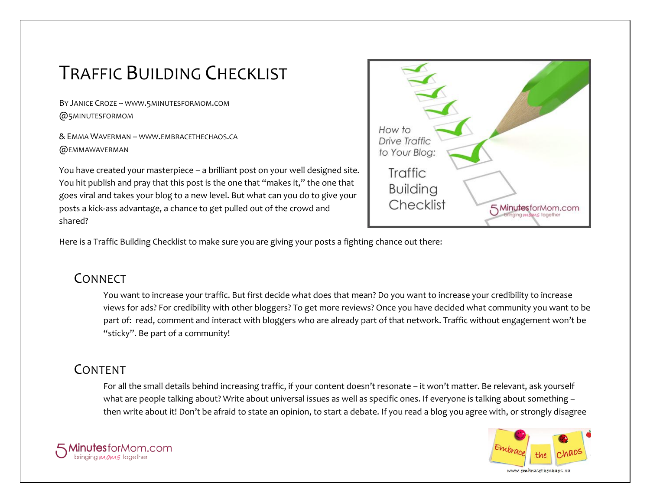# TRAFFIC BUILDING CHECKLIST

BY JANICE CROZE -- WWW.5[MINUTESFORMOM](http://www.5minutesformom.com/).COM @5MINUTESFORMOM

& EMMA WAVERMAN – WWW.EMBRACETHECHAOS.CA @EMMAWAVERMAN

You have created your masterpiece – a brilliant post on your well designed site. You hit publish and pray that this post is the one that "makes it," the one that goes viral and takes your blog to a new level. But what can you do to give your posts a kick-ass advantage, a chance to get pulled out of the crowd and shared?



Here is a Traffic Building Checklist to make sure you are giving your posts a fighting chance out there:

# **CONNECT**

You want to increase your traffic. But first decide what does that mean? Do you want to increase your credibility to increase views for ads? For credibility with other bloggers? To get more reviews? Once you have decided what community you want to be part of: read, comment and interact with bloggers who are already part of that network. Traffic without engagement won't be "sticky". Be part of a community!

# CONTENT

For all the small details behind increasing traffic, if your content doesn't resonate – it won't matter. Be relevant, ask yourself what are people talking about? Write about universal issues as well as specific ones. If everyone is talking about something – then write about it! Don't be afraid to state an opinion, to start a debate. If you read a blog you agree with, or strongly disagree



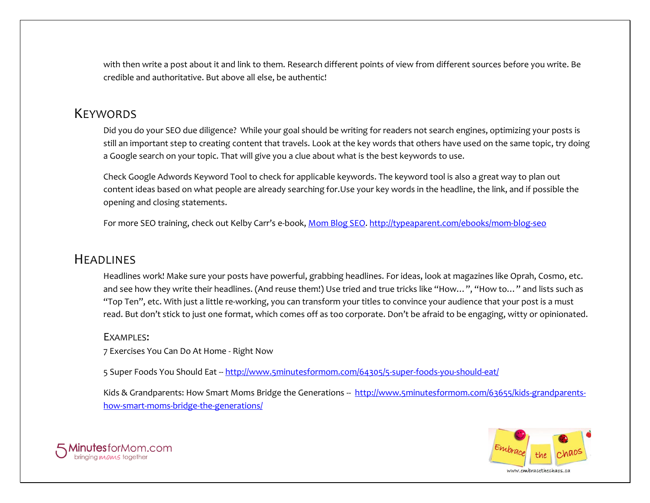with then write a post about it and link to them. Research different points of view from different sources before you write. Be credible and authoritative. But above all else, be authentic!

#### **KEYWORDS**

Did you do your SEO due diligence? While your goal should be writing for readers not search engines, optimizing your posts is still an important step to creating content that travels. Look at the key words that others have used on the same topic, try doing a Google search on your topic. That will give you a clue about what is the best keywords to use.

Check Google Adwords Keyword Tool to check for applicable keywords. The keyword tool is also a great way to plan out content ideas based on what people are already searching for.Use your key words in the headline, the link, and if possible the opening and closing statements.

For more SEO training, check out Kelby Carr's e-book[, Mom Blog SEO. http://typeaparent.com/ebooks/mom-blog-seo](http://typeaparent.com/ebooks/mom-blog-seo)

# **HEADLINES**

Headlines work! Make sure your posts have powerful, grabbing headlines. For ideas, look at magazines like Oprah, Cosmo, etc. and see how they write their headlines. (And reuse them!) Use tried and true tricks like "How…", "How to…" and lists such as "Top Ten", etc. With just a little re-working, you can transform your titles to convince your audience that your post is a must read. But don't stick to just one format, which comes off as too corporate. Don't be afraid to be engaging, witty or opinionated.

#### EXAMPLES:

7 Exercises You Can Do At Home - Right Now

5 Super Foods You Should Eat -- <http://www.5minutesformom.com/64305/5-super-foods-you-should-eat/>

Kids & Grandparents: How Smart Moms Bridge the Generations -- [http://www.5minutesformom.com/63655/kids-grandparents](http://www.5minutesformom.com/63655/kids-grandparents-how-smart-moms-bridge-the-generations/)[how-smart-moms-bridge-the-generations/](http://www.5minutesformom.com/63655/kids-grandparents-how-smart-moms-bridge-the-generations/)



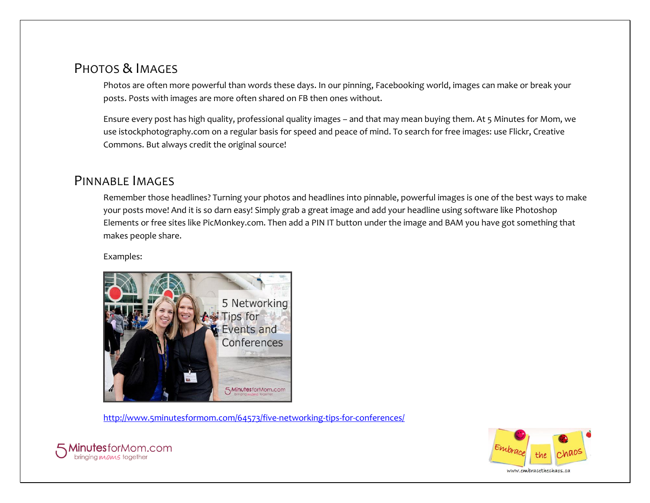# PHOTOS & IMAGES

Photos are often more powerful than words these days. In our pinning, Facebooking world, images can make or break your posts. Posts with images are more often shared on FB then ones without.

Ensure every post has high quality, professional quality images – and that may mean buying them. At 5 Minutes for Mom, we use istockphotography.com on a regular basis for speed and peace of mind. To search for free images: use Flickr, Creative Commons. But always credit the original source!

### PINNABLE IMAGES

Remember those headlines? Turning your photos and headlines into pinnable, powerful images is one of the best ways to make your posts move! And it is so darn easy! Simply grab a great image and add your headline using software like Photoshop Elements or free sites like PicMonkey.com. Then add a PIN IT button under the image and BAM you have got something that makes people share.

Examples:



<http://www.5minutesformom.com/64573/five-networking-tips-for-conferences/>



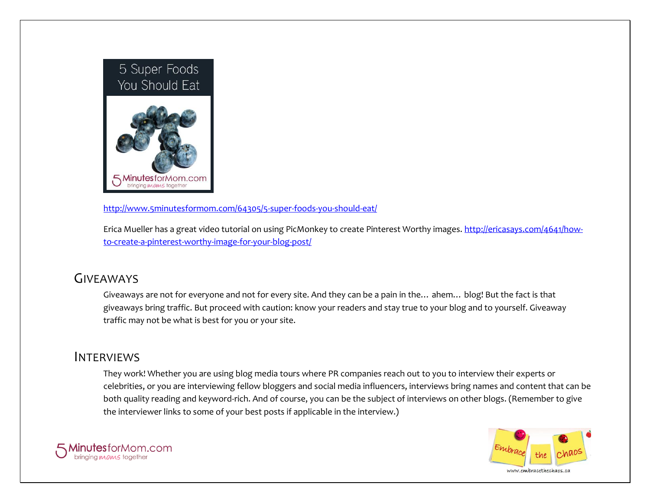

<http://www.5minutesformom.com/64305/5-super-foods-you-should-eat/>

Erica Mueller has a great video tutorial on using PicMonkey to create Pinterest Worthy images. [http://ericasays.com/4641/how](http://ericasays.com/4641/how-to-create-a-pinterest-worthy-image-for-your-blog-post/)[to-create-a-pinterest-worthy-image-for-your-blog-post/](http://ericasays.com/4641/how-to-create-a-pinterest-worthy-image-for-your-blog-post/)

# GIVEAWAYS

Giveaways are not for everyone and not for every site. And they can be a pain in the… ahem… blog! But the fact is that giveaways bring traffic. But proceed with caution: know your readers and stay true to your blog and to yourself. Giveaway traffic may not be what is best for you or your site.

### INTERVIEWS

They work! Whether you are using blog media tours where PR companies reach out to you to interview their experts or celebrities, or you are interviewing fellow bloggers and social media influencers, interviews bring names and content that can be both quality reading and keyword-rich. And of course, you can be the subject of interviews on other blogs. (Remember to give the interviewer links to some of your best posts if applicable in the interview.)



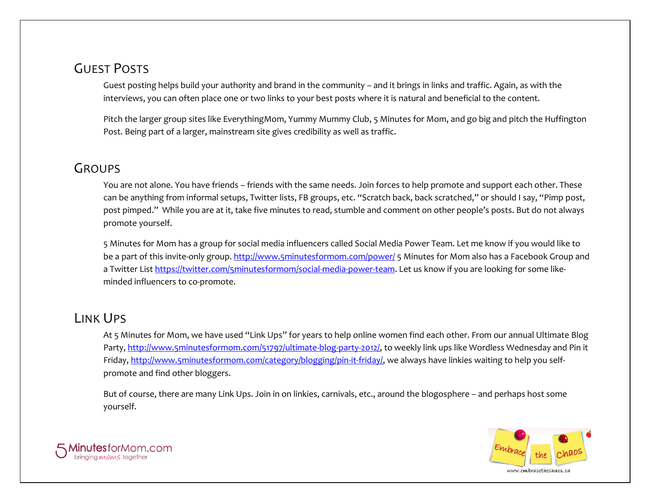# GUEST POSTS

Guest posting helps build your authority and brand in the community – and it brings in links and traffic. Again, as with the interviews, you can often place one or two links to your best posts where it is natural and beneficial to the content.

Pitch the larger group sites like EverythingMom, Yummy Mummy Club, 5 Minutes for Mom, and go big and pitch the Huffington Post. Being part of a larger, mainstream site gives credibility as well as traffic.

#### **GROUPS**

You are not alone. You have friends – friends with the same needs. Join forces to help promote and support each other. These can be anything from informal setups, Twitter lists, FB groups, etc. "Scratch back, back scratched," or should I say, "Pimp post, post pimped." While you are at it, take five minutes to read, stumble and comment on other people's posts. But do not always promote yourself.

5 Minutes for Mom has a group for social media influencers called Social Media Power Team. Let me know if you would like to be a part of this invite-only group. <http://www.5minutesformom.com/power/> 5 Minutes for Mom also has a Facebook Group and a Twitter List [https://twitter.com/5minutesformom/social-media-power-team.](https://twitter.com/5minutesformom/social-media-power-team) Let us know if you are looking for some likeminded influencers to co-promote.

# LINK UPS

At 5 Minutes for Mom, we have used "Link Ups" for years to help online women find each other. From our annual Ultimate Blog Party[, http://www.5minutesformom.com/51797/ultimate-blog-party-2012/,](http://www.5minutesformom.com/51797/ultimate-blog-party-2012/) to weekly link ups like Wordless Wednesday and Pin it Friday[, http://www.5minutesformom.com/category/blogging/pin-it-friday/,](http://www.5minutesformom.com/category/blogging/pin-it-friday/) we always have linkies waiting to help you selfpromote and find other bloggers.

But of course, there are many Link Ups. Join in on linkies, carnivals, etc., around the blogosphere – and perhaps host some yourself.